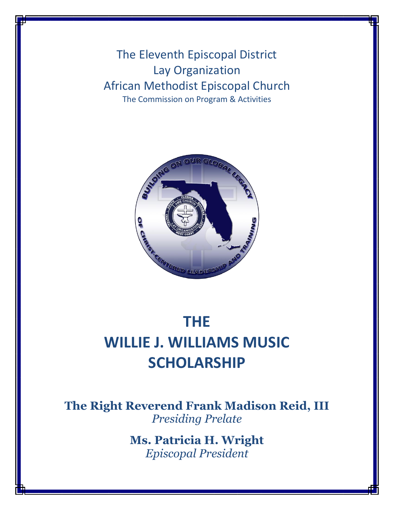The Eleventh Episcopal District Lay Organization African Methodist Episcopal Church The Commission on Program & Activities



# **THE WILLIE J. WILLIAMS MUSIC SCHOLARSHIP**

**The Right Reverend Frank Madison Reid, III** *Presiding Prelate*

> **Ms. Patricia H. Wright** *Episcopal President*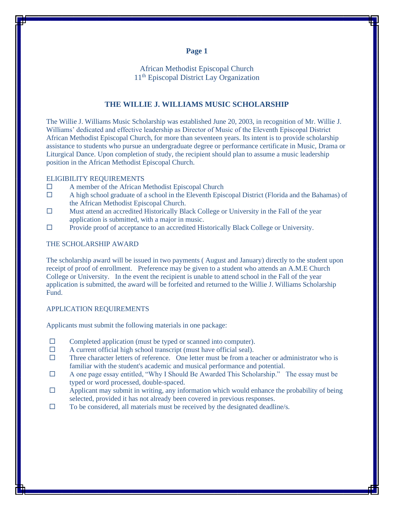### **Page 1**

African Methodist Episcopal Church 11th Episcopal District Lay Organization

### **THE WILLIE J. WILLIAMS MUSIC SCHOLARSHIP**

The Willie J. Williams Music Scholarship was established June 20, 2003, in recognition of Mr. Willie J. Williams' dedicated and effective leadership as Director of Music of the Eleventh Episcopal District African Methodist Episcopal Church, for more than seventeen years. Its intent is to provide scholarship assistance to students who pursue an undergraduate degree or performance certificate in Music, Drama or Liturgical Dance. Upon completion of study, the recipient should plan to assume a music leadership position in the African Methodist Episcopal Church.

### ELIGIBILITY REQUIREMENTS

- A member of the African Methodist Episcopal Church
- $\Box$  A high school graduate of a school in the Eleventh Episcopal District (Florida and the Bahamas) of the African Methodist Episcopal Church.
- $\Box$  Must attend an accredited Historically Black College or University in the Fall of the year application is submitted, with a major in music.
- $\Box$  Provide proof of acceptance to an accredited Historically Black College or University.

### THE SCHOLARSHIP AWARD

The scholarship award will be issued in two payments ( August and January) directly to the student upon receipt of proof of enrollment. Preference may be given to a student who attends an A.M.E Church College or University. In the event the recipient is unable to attend school in the Fall of the year application is submitted, the award will be forfeited and returned to the Willie J. Williams Scholarship Fund.

### APPLICATION REQUIREMENTS

Applicants must submit the following materials in one package:

- $\Box$  Completed application (must be typed or scanned into computer).
- $\Box$  A current official high school transcript (must have official seal).
- $\Box$  Three character letters of reference. One letter must be from a teacher or administrator who is familiar with the student's academic and musical performance and potential.
- A one page essay entitled, "Why I Should Be Awarded This Scholarship." The essay must be typed or word processed, double-spaced.
- $\Box$  Applicant may submit in writing, any information which would enhance the probability of being selected, provided it has not already been covered in previous responses.
- $\Box$  To be considered, all materials must be received by the designated deadline/s.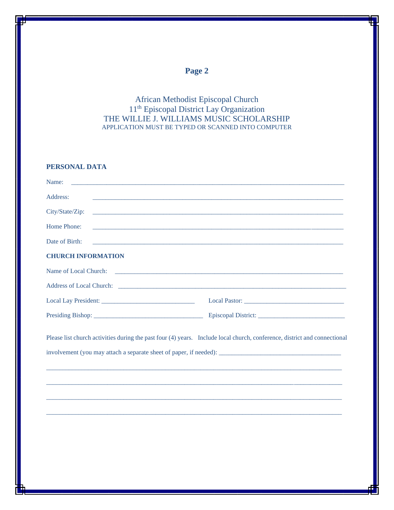## **Page 2**

African Methodist Episcopal Church 11th Episcopal District Lay Organization THE WILLIE J. WILLIAMS MUSIC SCHOLARSHIP APPLICATION MUST BE TYPED OR SCANNED INTO COMPUTER

### **PERSONAL DATA**

| Name:<br><u> 1989 - Johann Stoff, deutscher Stoff, der Stoff, der Stoff, der Stoff, der Stoff, der Stoff, der Stoff, der S</u> |                                                                                                                           |
|--------------------------------------------------------------------------------------------------------------------------------|---------------------------------------------------------------------------------------------------------------------------|
| Address:                                                                                                                       |                                                                                                                           |
| City/State/Zip:                                                                                                                |                                                                                                                           |
| Home Phone:                                                                                                                    | <u> 1980 - Johann Stoff, deutscher Stoff, der Stoff, der Stoff, der Stoff, der Stoff, der Stoff, der Stoff, der S</u>     |
| Date of Birth:                                                                                                                 |                                                                                                                           |
| <b>CHURCH INFORMATION</b>                                                                                                      |                                                                                                                           |
| Name of Local Church:                                                                                                          | <u> 1989 - Jan James James, margolar amerikan bahasa personal dan berasal dan berasal dalam berasal dalam berasal</u>     |
|                                                                                                                                |                                                                                                                           |
|                                                                                                                                |                                                                                                                           |
|                                                                                                                                |                                                                                                                           |
|                                                                                                                                | Please list church activities during the past four (4) years. Include local church, conference, district and connectional |
|                                                                                                                                |                                                                                                                           |
|                                                                                                                                |                                                                                                                           |
|                                                                                                                                |                                                                                                                           |
|                                                                                                                                |                                                                                                                           |
|                                                                                                                                |                                                                                                                           |
|                                                                                                                                |                                                                                                                           |
|                                                                                                                                |                                                                                                                           |
|                                                                                                                                |                                                                                                                           |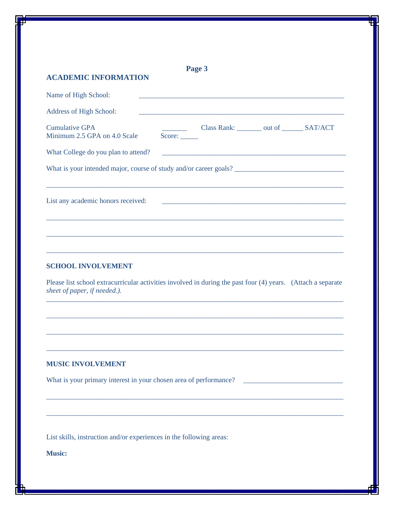| <b>ACADEMIC INFORMATION</b>                           | Page 3                                                                                                               |
|-------------------------------------------------------|----------------------------------------------------------------------------------------------------------------------|
| Name of High School:                                  | <u> 1989 - Johann Barbara, martxa alemaniar argumento estas políticas en la contrada de la contrada de la contra</u> |
| Address of High School:                               |                                                                                                                      |
| <b>Cumulative GPA</b><br>Minimum 2.5 GPA on 4.0 Scale | Class Rank: ________ out of _______ SAT/ACT<br>Score:                                                                |
| What College do you plan to attend?                   | <u> 2002 - Jan James James Jan James James James James James James James James James James James James James Jam</u> |
|                                                       |                                                                                                                      |
|                                                       |                                                                                                                      |
| List any academic honors received:                    |                                                                                                                      |
|                                                       |                                                                                                                      |
|                                                       |                                                                                                                      |
|                                                       |                                                                                                                      |
|                                                       |                                                                                                                      |
| <b>SCHOOL INVOLVEMENT</b>                             |                                                                                                                      |
| sheet of paper, if needed.).                          | Please list school extracurricular activities involved in during the past four (4) years. (Attach a separate         |
|                                                       |                                                                                                                      |
|                                                       |                                                                                                                      |
|                                                       |                                                                                                                      |
|                                                       |                                                                                                                      |
| <b>MUSIC INVOLVEMENT</b>                              |                                                                                                                      |
|                                                       |                                                                                                                      |
|                                                       |                                                                                                                      |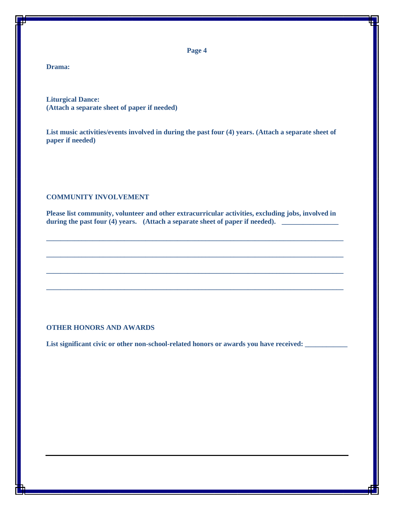**Page 4**

### **Drama:**

**Liturgical Dance: (Attach a separate sheet of paper if needed)**

**List music activities/events involved in during the past four (4) years. (Attach a separate sheet of paper if needed)**

#### **COMMUNITY INVOLVEMENT**

**Please list community, volunteer and other extracurricular activities, excluding jobs, involved in**  during the past four (4) years. (Attach a separate sheet of paper if needed). \_\_\_\_\_\_\_\_\_

**\_\_\_\_\_\_\_\_\_\_\_\_\_\_\_\_\_\_\_\_\_\_\_\_\_\_\_\_\_\_\_\_\_\_\_\_\_\_\_\_\_\_\_\_\_\_\_\_\_\_\_\_\_\_\_\_\_\_\_\_\_\_\_\_\_\_\_\_\_\_\_\_\_\_\_\_\_\_\_\_\_\_\_\_**

**\_\_\_\_\_\_\_\_\_\_\_\_\_\_\_\_\_\_\_\_\_\_\_\_\_\_\_\_\_\_\_\_\_\_\_\_\_\_\_\_\_\_\_\_\_\_\_\_\_\_\_\_\_\_\_\_\_\_\_\_\_\_\_\_\_\_\_\_\_\_\_\_\_\_\_\_\_\_\_\_\_\_\_\_**

**\_\_\_\_\_\_\_\_\_\_\_\_\_\_\_\_\_\_\_\_\_\_\_\_\_\_\_\_\_\_\_\_\_\_\_\_\_\_\_\_\_\_\_\_\_\_\_\_\_\_\_\_\_\_\_\_\_\_\_\_\_\_\_\_\_\_\_\_\_\_\_\_\_\_\_\_\_\_\_\_\_\_\_\_**

**\_\_\_\_\_\_\_\_\_\_\_\_\_\_\_\_\_\_\_\_\_\_\_\_\_\_\_\_\_\_\_\_\_\_\_\_\_\_\_\_\_\_\_\_\_\_\_\_\_\_\_\_\_\_\_\_\_\_\_\_\_\_\_\_\_\_\_\_\_\_\_\_\_\_\_\_\_\_\_\_\_\_\_\_**

### **OTHER HONORS AND AWARDS**

List significant civic or other non-school-related honors or awards you have received: \_\_\_\_\_\_\_\_\_\_\_\_\_